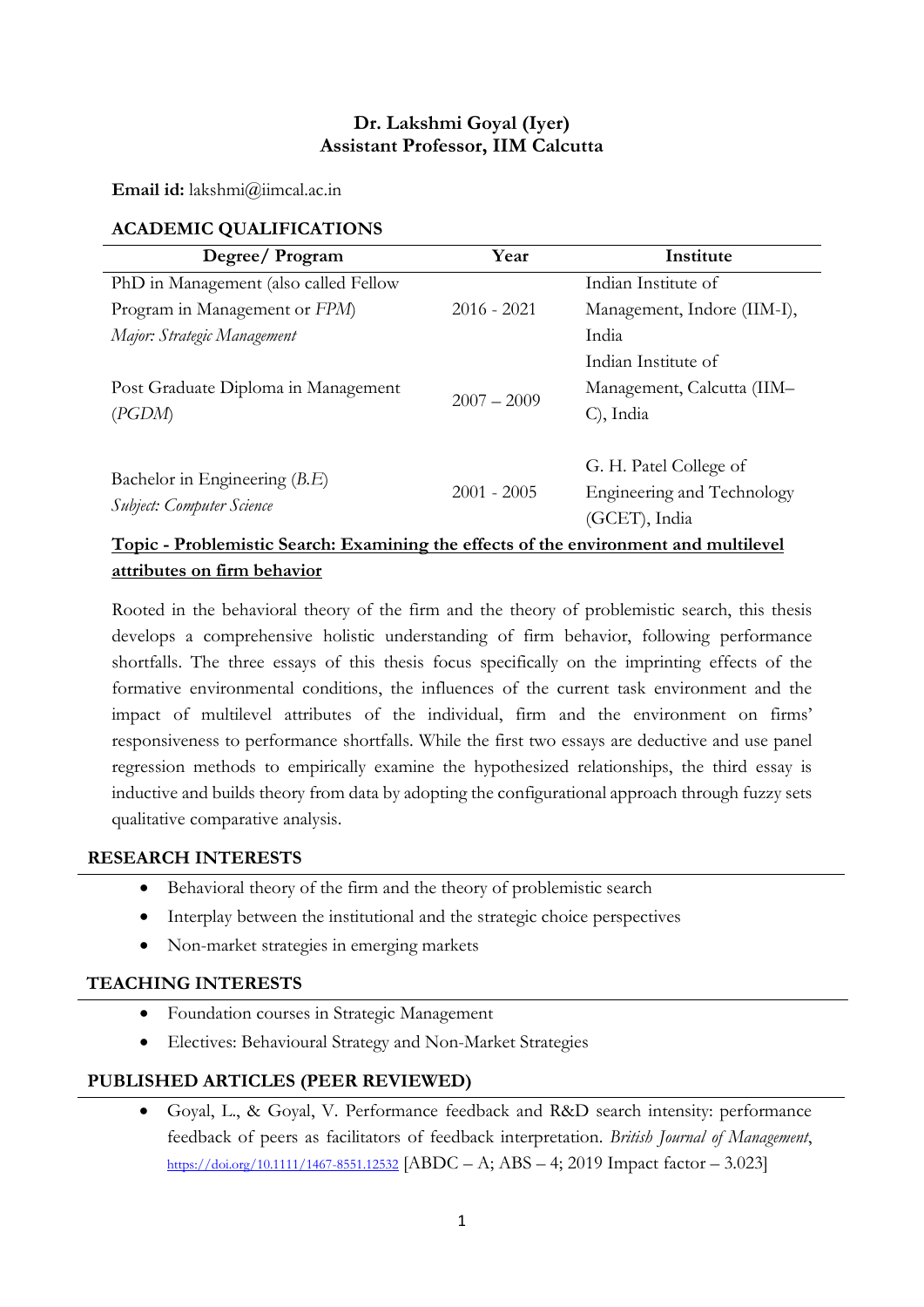## Dr. Lakshmi Goyal (Iyer) Assistant Professor, IIM Calcutta

Email id: lakshmi@iimcal.ac.in

# ACADEMIC QUALIFICATIONS

| Degree/Program                                                                              | Year          | Institute                   |  |
|---------------------------------------------------------------------------------------------|---------------|-----------------------------|--|
| PhD in Management (also called Fellow                                                       |               | Indian Institute of         |  |
| Program in Management or FPM                                                                | $2016 - 2021$ | Management, Indore (IIM-I), |  |
| Major: Strategic Management                                                                 |               | India                       |  |
| Post Graduate Diploma in Management<br>(PGDM)                                               | $2007 - 2009$ | Indian Institute of         |  |
|                                                                                             |               | Management, Calcutta (IIM-  |  |
|                                                                                             |               | C), India                   |  |
| Bachelor in Engineering $(B.E)$<br>Subject: Computer Science                                | $2001 - 2005$ | G. H. Patel College of      |  |
|                                                                                             |               | Engineering and Technology  |  |
|                                                                                             |               | (GCET), India               |  |
| <u>Topic - Problemistic Search: Examining the effects of the environment and multilevel</u> |               |                             |  |

#### attributes on firm behavior

Rooted in the behavioral theory of the firm and the theory of problemistic search, this thesis develops a comprehensive holistic understanding of firm behavior, following performance shortfalls. The three essays of this thesis focus specifically on the imprinting effects of the formative environmental conditions, the influences of the current task environment and the impact of multilevel attributes of the individual, firm and the environment on firms' responsiveness to performance shortfalls. While the first two essays are deductive and use panel regression methods to empirically examine the hypothesized relationships, the third essay is inductive and builds theory from data by adopting the configurational approach through fuzzy sets qualitative comparative analysis.

### RESEARCH INTERESTS

- Behavioral theory of the firm and the theory of problemistic search
- Interplay between the institutional and the strategic choice perspectives
- Non-market strategies in emerging markets

#### TEACHING INTERESTS

- Foundation courses in Strategic Management
- Electives: Behavioural Strategy and Non-Market Strategies

### PUBLISHED ARTICLES (PEER REVIEWED)

 Goyal, L., & Goyal, V. Performance feedback and R&D search intensity: performance feedback of peers as facilitators of feedback interpretation. British Journal of Management, https://doi.org/10.1111/1467-8551.12532 [ABDC – A; ABS – 4; 2019 Impact factor – 3.023]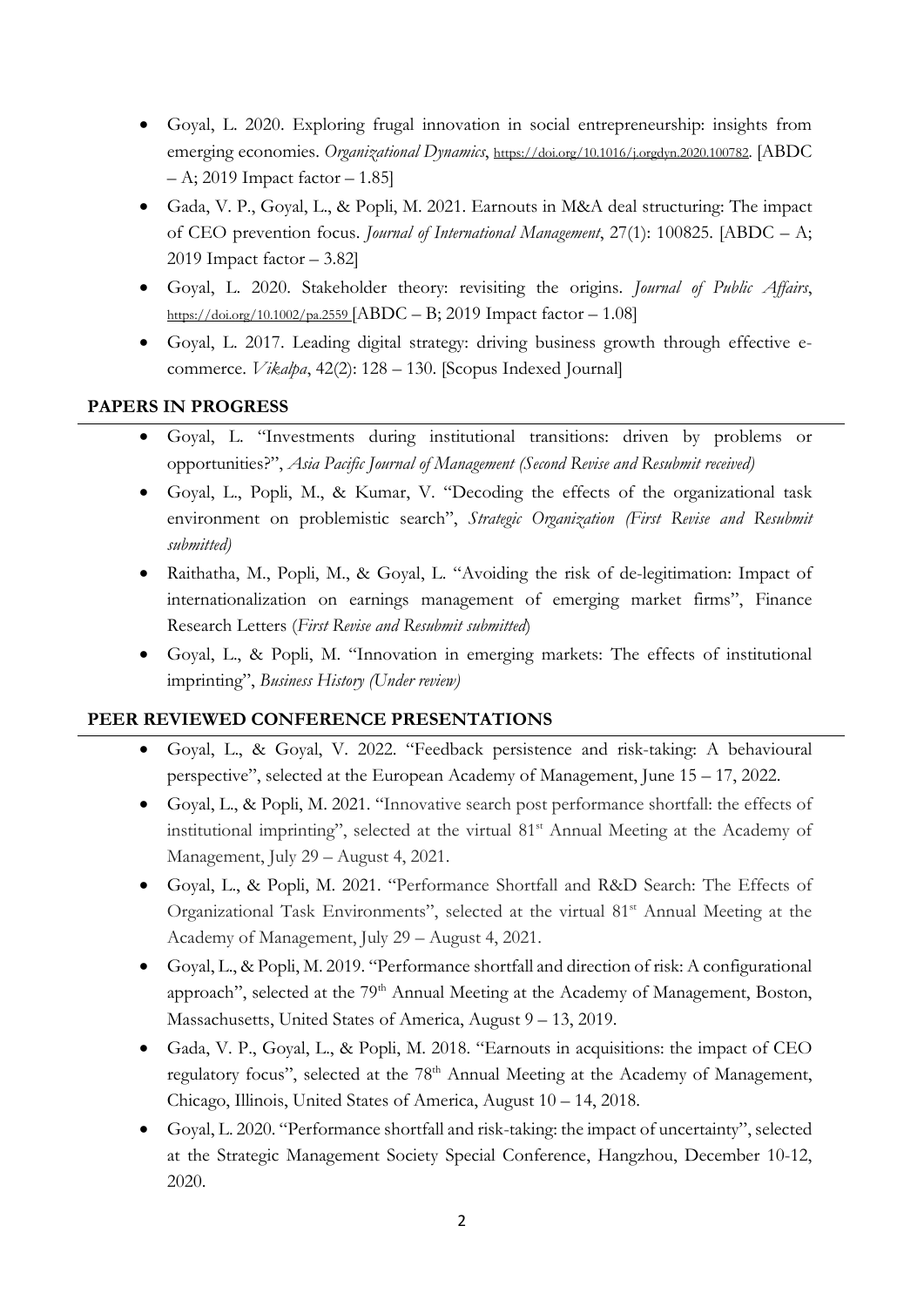- Goyal, L. 2020. Exploring frugal innovation in social entrepreneurship: insights from emerging economies. Organizational Dynamics, https://doi.org/10.1016/j.orgdyn.2020.100782. [ABDC  $-$  A; 2019 Impact factor  $-$  1.85]
- Gada, V. P., Goyal, L., & Popli, M. 2021. Earnouts in M&A deal structuring: The impact of CEO prevention focus. Journal of International Management, 27(1): 100825. [ABDC – A; 2019 Impact factor – 3.82]
- Goyal, L. 2020. Stakeholder theory: revisiting the origins. Journal of Public Affairs, https://doi.org/10.1002/pa.2559 [ABDC – B; 2019 Impact factor – 1.08]
- Goyal, L. 2017. Leading digital strategy: driving business growth through effective ecommerce. Vikalpa, 42(2): 128 – 130. [Scopus Indexed Journal]

# PAPERS IN PROGRESS

- Goyal, L. "Investments during institutional transitions: driven by problems or opportunities?", Asia Pacific Journal of Management (Second Revise and Resubmit received)
- Goyal, L., Popli, M., & Kumar, V. "Decoding the effects of the organizational task environment on problemistic search", Strategic Organization (First Revise and Resubmit submitted)
- Raithatha, M., Popli, M., & Goyal, L. "Avoiding the risk of de-legitimation: Impact of internationalization on earnings management of emerging market firms", Finance Research Letters (First Revise and Resubmit submitted)
- Goyal, L., & Popli, M. "Innovation in emerging markets: The effects of institutional imprinting", Business History (Under review)

### PEER REVIEWED CONFERENCE PRESENTATIONS

- Goyal, L., & Goyal, V. 2022. "Feedback persistence and risk-taking: A behavioural perspective", selected at the European Academy of Management, June 15 – 17, 2022.
- Goyal, L., & Popli, M. 2021. "Innovative search post performance shortfall: the effects of institutional imprinting", selected at the virtual 81<sup>st</sup> Annual Meeting at the Academy of Management, July 29 – August 4, 2021.
- Goyal, L., & Popli, M. 2021. "Performance Shortfall and R&D Search: The Effects of Organizational Task Environments", selected at the virtual 81<sup>st</sup> Annual Meeting at the Academy of Management, July 29 – August 4, 2021.
- Goyal, L., & Popli, M. 2019. "Performance shortfall and direction of risk: A configurational approach", selected at the 79<sup>th</sup> Annual Meeting at the Academy of Management, Boston, Massachusetts, United States of America, August 9 – 13, 2019.
- Gada, V. P., Goyal, L., & Popli, M. 2018. "Earnouts in acquisitions: the impact of CEO regulatory focus", selected at the 78<sup>th</sup> Annual Meeting at the Academy of Management, Chicago, Illinois, United States of America, August 10 – 14, 2018.
- Goyal, L. 2020. "Performance shortfall and risk-taking: the impact of uncertainty", selected at the Strategic Management Society Special Conference, Hangzhou, December 10-12, 2020.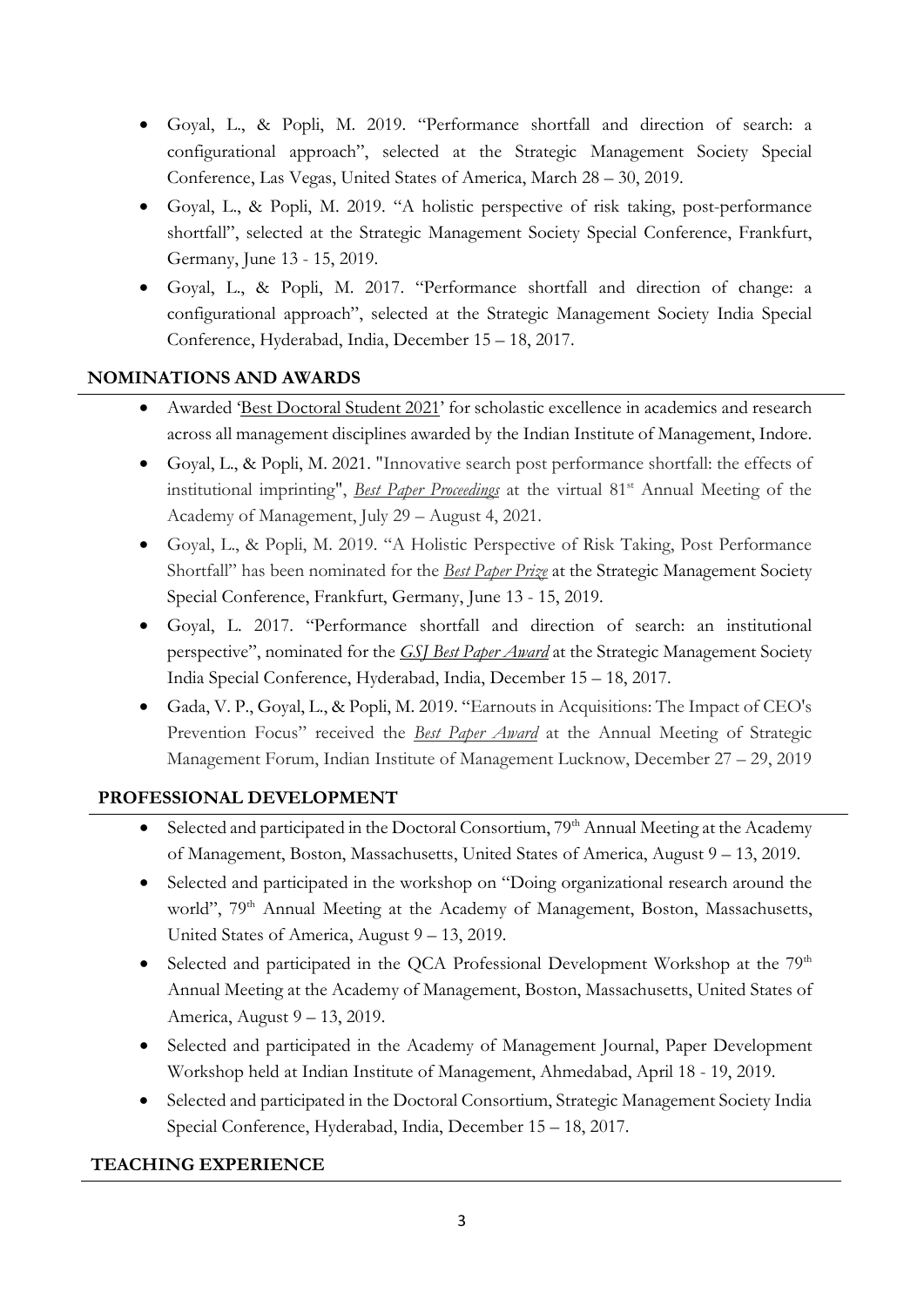- Goyal, L., & Popli, M. 2019. "Performance shortfall and direction of search: a configurational approach", selected at the Strategic Management Society Special Conference, Las Vegas, United States of America, March 28 – 30, 2019.
- Goyal, L., & Popli, M. 2019. "A holistic perspective of risk taking, post-performance shortfall", selected at the Strategic Management Society Special Conference, Frankfurt, Germany, June 13 - 15, 2019.
- Goyal, L., & Popli, M. 2017. "Performance shortfall and direction of change: a configurational approach", selected at the Strategic Management Society India Special Conference, Hyderabad, India, December 15 – 18, 2017.

# NOMINATIONS AND AWARDS

- Awarded 'Best Doctoral Student 2021' for scholastic excellence in academics and research across all management disciplines awarded by the Indian Institute of Management, Indore.
- Goyal, L., & Popli, M. 2021. "Innovative search post performance shortfall: the effects of institutional imprinting", *Best Paper Proceedings* at the virtual 81<sup>st</sup> Annual Meeting of the Academy of Management, July 29 – August 4, 2021.
- Goyal, L., & Popli, M. 2019. "A Holistic Perspective of Risk Taking, Post Performance Shortfall" has been nominated for the *Best Paper Prize* at the Strategic Management Society Special Conference, Frankfurt, Germany, June 13 - 15, 2019.
- Goyal, L. 2017. "Performance shortfall and direction of search: an institutional perspective", nominated for the GSJ Best Paper Award at the Strategic Management Society India Special Conference, Hyderabad, India, December 15 – 18, 2017.
- Gada, V. P., Goyal, L., & Popli, M. 2019. "Earnouts in Acquisitions: The Impact of CEO's Prevention Focus" received the *Best Paper Award* at the Annual Meeting of Strategic Management Forum, Indian Institute of Management Lucknow, December 27 – 29, 2019

# PROFESSIONAL DEVELOPMENT

- Selected and participated in the Doctoral Consortium, 79<sup>th</sup> Annual Meeting at the Academy of Management, Boston, Massachusetts, United States of America, August 9 – 13, 2019.
- Selected and participated in the workshop on "Doing organizational research around the world", 79<sup>th</sup> Annual Meeting at the Academy of Management, Boston, Massachusetts, United States of America, August 9 – 13, 2019.
- Selected and participated in the QCA Professional Development Workshop at the  $79<sup>th</sup>$ Annual Meeting at the Academy of Management, Boston, Massachusetts, United States of America, August 9 – 13, 2019.
- Selected and participated in the Academy of Management Journal, Paper Development Workshop held at Indian Institute of Management, Ahmedabad, April 18 - 19, 2019.
- Selected and participated in the Doctoral Consortium, Strategic Management Society India Special Conference, Hyderabad, India, December 15 – 18, 2017.

# TEACHING EXPERIENCE